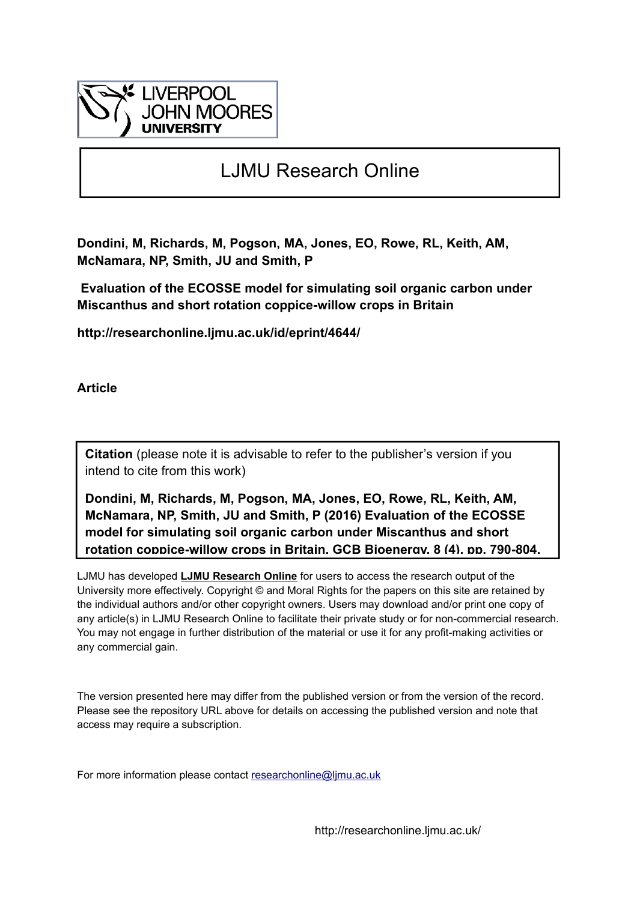

# LJMU Research Online

**Dondini, M, Richards, M, Pogson, MA, Jones, EO, Rowe, RL, Keith, AM, McNamara, NP, Smith, JU and Smith, P**

 **Evaluation of the ECOSSE model for simulating soil organic carbon under Miscanthus and short rotation coppice-willow crops in Britain**

**http://researchonline.ljmu.ac.uk/id/eprint/4644/**

**Article**

**Citation** (please note it is advisable to refer to the publisher's version if you intend to cite from this work)

**Dondini, M, Richards, M, Pogson, MA, Jones, EO, Rowe, RL, Keith, AM, McNamara, NP, Smith, JU and Smith, P (2016) Evaluation of the ECOSSE model for simulating soil organic carbon under Miscanthus and short rotation coppice-willow crops in Britain. GCB Bioenergy, 8 (4). pp. 790-804.** 

LJMU has developed **[LJMU Research Online](http://researchonline.ljmu.ac.uk/)** for users to access the research output of the University more effectively. Copyright © and Moral Rights for the papers on this site are retained by the individual authors and/or other copyright owners. Users may download and/or print one copy of any article(s) in LJMU Research Online to facilitate their private study or for non-commercial research. You may not engage in further distribution of the material or use it for any profit-making activities or any commercial gain.

The version presented here may differ from the published version or from the version of the record. Please see the repository URL above for details on accessing the published version and note that access may require a subscription.

For more information please contact researchonline@limu.ac.uk

http://researchonline.ljmu.ac.uk/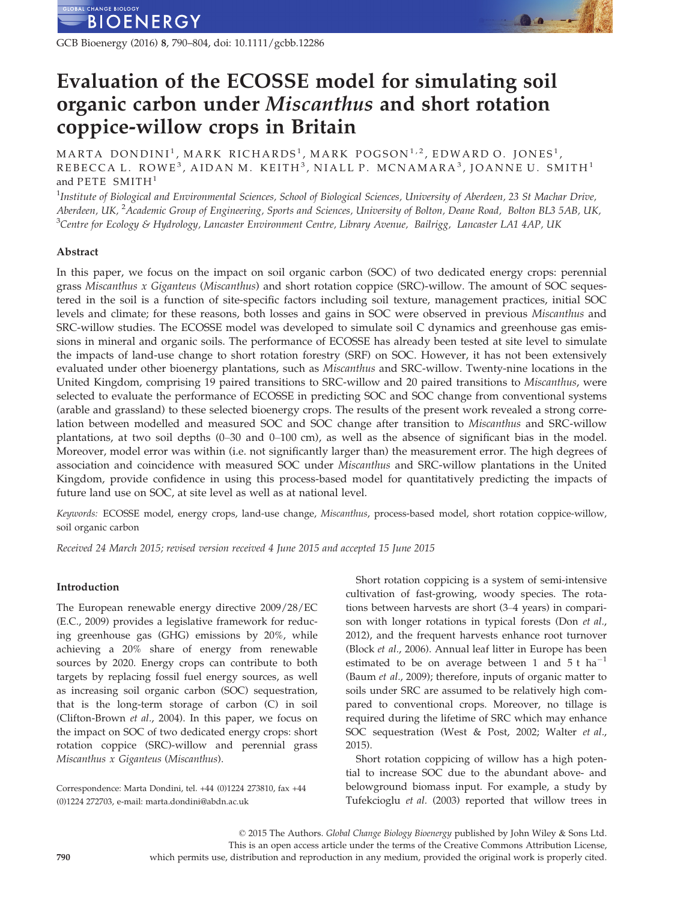GCB Bioenergy (2016) 8, 790–804, doi: 10.1111/gcbb.12286

# Evaluation of the ECOSSE model for simulating soil organic carbon under Miscanthus and short rotation coppice-willow crops in Britain

MARTA DONDINI<sup>1</sup>, MARK RICHARDS<sup>1</sup>, MARK POGSON<sup>1,2</sup>, EDWARD O. JONES<sup>1</sup>, REBECCA L. ROWE<sup>3</sup>, AIDAN M. KEITH<sup>3</sup>, NIALL P. MCNAMARA<sup>3</sup>, JOANNE U. SMITH<sup>1</sup> and PETE  $SMITH<sup>1</sup>$ 

 $^1$ Institute of Biological and Environmental Sciences, School of Biological Sciences, University of Aberdeen, 23 St Machar Drive, Aberdeen, UK, <sup>2</sup>Academic Group of Engineering, Sports and Sciences, University of Bolton, Deane Road, Bolton BL3 5AB, UK,  $^3$ Centre for Ecology & Hydrology, Lancaster Environment Centre, Library Avenue, Bailrigg, Lancaster LA1 4AP, UK

# Abstract

In this paper, we focus on the impact on soil organic carbon (SOC) of two dedicated energy crops: perennial grass Miscanthus x Giganteus (Miscanthus) and short rotation coppice (SRC)-willow. The amount of SOC sequestered in the soil is a function of site-specific factors including soil texture, management practices, initial SOC levels and climate; for these reasons, both losses and gains in SOC were observed in previous Miscanthus and SRC-willow studies. The ECOSSE model was developed to simulate soil C dynamics and greenhouse gas emissions in mineral and organic soils. The performance of ECOSSE has already been tested at site level to simulate the impacts of land-use change to short rotation forestry (SRF) on SOC. However, it has not been extensively evaluated under other bioenergy plantations, such as Miscanthus and SRC-willow. Twenty-nine locations in the United Kingdom, comprising 19 paired transitions to SRC-willow and 20 paired transitions to Miscanthus, were selected to evaluate the performance of ECOSSE in predicting SOC and SOC change from conventional systems (arable and grassland) to these selected bioenergy crops. The results of the present work revealed a strong correlation between modelled and measured SOC and SOC change after transition to Miscanthus and SRC-willow plantations, at two soil depths (0–30 and 0–100 cm), as well as the absence of significant bias in the model. Moreover, model error was within (i.e. not significantly larger than) the measurement error. The high degrees of association and coincidence with measured SOC under Miscanthus and SRC-willow plantations in the United Kingdom, provide confidence in using this process-based model for quantitatively predicting the impacts of future land use on SOC, at site level as well as at national level.

Keywords: ECOSSE model, energy crops, land-use change, Miscanthus, process-based model, short rotation coppice-willow, soil organic carbon

Received 24 March 2015; revised version received 4 June 2015 and accepted 15 June 2015

# Introduction

The European renewable energy directive 2009/28/EC (E.C., 2009) provides a legislative framework for reducing greenhouse gas (GHG) emissions by 20%, while achieving a 20% share of energy from renewable sources by 2020. Energy crops can contribute to both targets by replacing fossil fuel energy sources, as well as increasing soil organic carbon (SOC) sequestration, that is the long-term storage of carbon (C) in soil (Clifton-Brown et al., 2004). In this paper, we focus on the impact on SOC of two dedicated energy crops: short rotation coppice (SRC)-willow and perennial grass Miscanthus x Giganteus (Miscanthus).

Correspondence: Marta Dondini, tel. +44 (0)1224 273810, fax +44 (0)1224 272703, e-mail: marta.dondini@abdn.ac.uk

Short rotation coppicing is a system of semi-intensive cultivation of fast-growing, woody species. The rotations between harvests are short (3–4 years) in comparison with longer rotations in typical forests (Don et al., 2012), and the frequent harvests enhance root turnover (Block et al., 2006). Annual leaf litter in Europe has been estimated to be on average between 1 and  $5t$  ha<sup>-1</sup> (Baum et al., 2009); therefore, inputs of organic matter to soils under SRC are assumed to be relatively high compared to conventional crops. Moreover, no tillage is required during the lifetime of SRC which may enhance SOC sequestration (West & Post, 2002; Walter et al., 2015).

Short rotation coppicing of willow has a high potential to increase SOC due to the abundant above- and belowground biomass input. For example, a study by Tufekcioglu et al. (2003) reported that willow trees in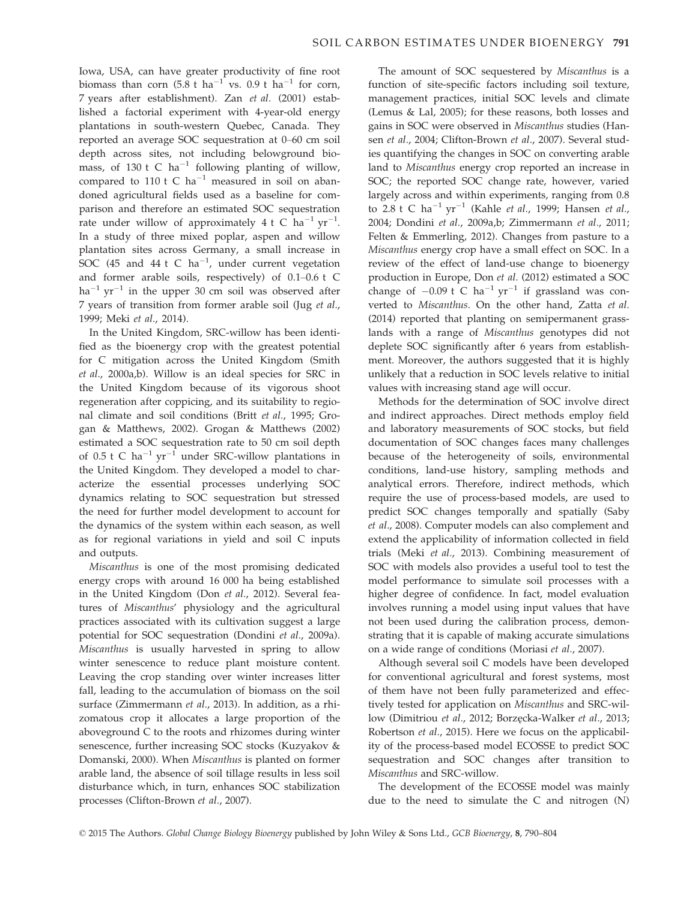Iowa, USA, can have greater productivity of fine root biomass than corn  $(5.8 \text{ t} \text{ ha}^{-1} \text{ vs. } 0.9 \text{ t} \text{ ha}^{-1} \text{ for corn},$ 7 years after establishment). Zan et al. (2001) established a factorial experiment with 4-year-old energy plantations in south-western Quebec, Canada. They reported an average SOC sequestration at 0–60 cm soil depth across sites, not including belowground biomass, of 130 t C ha<sup>-1</sup> following planting of willow, compared to 110 t C  $ha^{-1}$  measured in soil on abandoned agricultural fields used as a baseline for comparison and therefore an estimated SOC sequestration rate under willow of approximately  $4$  t C  $ha^{-1}$   $yr^{-1}$ . In a study of three mixed poplar, aspen and willow plantation sites across Germany, a small increase in SOC (45 and 44 t C  $ha^{-1}$ , under current vegetation and former arable soils, respectively) of 0.1–0.6 t C  $ha^{-1}$  yr<sup>-1</sup> in the upper 30 cm soil was observed after 7 years of transition from former arable soil (Jug et al., 1999; Meki et al., 2014).

In the United Kingdom, SRC-willow has been identified as the bioenergy crop with the greatest potential for C mitigation across the United Kingdom (Smith et al., 2000a,b). Willow is an ideal species for SRC in the United Kingdom because of its vigorous shoot regeneration after coppicing, and its suitability to regional climate and soil conditions (Britt et al., 1995; Grogan & Matthews, 2002). Grogan & Matthews (2002) estimated a SOC sequestration rate to 50 cm soil depth of 0.5 t C ha<sup>-1</sup> yr<sup>-1</sup> under SRC-willow plantations in the United Kingdom. They developed a model to characterize the essential processes underlying SOC dynamics relating to SOC sequestration but stressed the need for further model development to account for the dynamics of the system within each season, as well as for regional variations in yield and soil C inputs and outputs.

Miscanthus is one of the most promising dedicated energy crops with around 16 000 ha being established in the United Kingdom (Don et al., 2012). Several features of Miscanthus' physiology and the agricultural practices associated with its cultivation suggest a large potential for SOC sequestration (Dondini et al., 2009a). Miscanthus is usually harvested in spring to allow winter senescence to reduce plant moisture content. Leaving the crop standing over winter increases litter fall, leading to the accumulation of biomass on the soil surface (Zimmermann et al., 2013). In addition, as a rhizomatous crop it allocates a large proportion of the aboveground C to the roots and rhizomes during winter senescence, further increasing SOC stocks (Kuzyakov & Domanski, 2000). When Miscanthus is planted on former arable land, the absence of soil tillage results in less soil disturbance which, in turn, enhances SOC stabilization processes (Clifton-Brown et al., 2007).

The amount of SOC sequestered by Miscanthus is a function of site-specific factors including soil texture, management practices, initial SOC levels and climate (Lemus & Lal, 2005); for these reasons, both losses and gains in SOC were observed in Miscanthus studies (Hansen et al., 2004; Clifton-Brown et al., 2007). Several studies quantifying the changes in SOC on converting arable land to Miscanthus energy crop reported an increase in SOC; the reported SOC change rate, however, varied largely across and within experiments, ranging from 0.8 to 2.8 t C ha<sup>-1</sup> yr<sup>-1</sup> (Kahle *et al.*, 1999; Hansen *et al.*, 2004; Dondini et al., 2009a,b; Zimmermann et al., 2011; Felten & Emmerling, 2012). Changes from pasture to a Miscanthus energy crop have a small effect on SOC. In a review of the effect of land-use change to bioenergy production in Europe, Don et al. (2012) estimated a SOC change of  $-0.09$  t C ha<sup>-1</sup> yr<sup>-1</sup> if grassland was converted to Miscanthus. On the other hand, Zatta et al. (2014) reported that planting on semipermanent grasslands with a range of Miscanthus genotypes did not deplete SOC significantly after 6 years from establishment. Moreover, the authors suggested that it is highly unlikely that a reduction in SOC levels relative to initial values with increasing stand age will occur.

Methods for the determination of SOC involve direct and indirect approaches. Direct methods employ field and laboratory measurements of SOC stocks, but field documentation of SOC changes faces many challenges because of the heterogeneity of soils, environmental conditions, land-use history, sampling methods and analytical errors. Therefore, indirect methods, which require the use of process-based models, are used to predict SOC changes temporally and spatially (Saby et al., 2008). Computer models can also complement and extend the applicability of information collected in field trials (Meki et al., 2013). Combining measurement of SOC with models also provides a useful tool to test the model performance to simulate soil processes with a higher degree of confidence. In fact, model evaluation involves running a model using input values that have not been used during the calibration process, demonstrating that it is capable of making accurate simulations on a wide range of conditions (Moriasi et al., 2007).

Although several soil C models have been developed for conventional agricultural and forest systems, most of them have not been fully parameterized and effectively tested for application on Miscanthus and SRC-willow (Dimitriou et al., 2012; Borzęcka-Walker et al., 2013; Robertson et al., 2015). Here we focus on the applicability of the process-based model ECOSSE to predict SOC sequestration and SOC changes after transition to Miscanthus and SRC-willow.

The development of the ECOSSE model was mainly due to the need to simulate the C and nitrogen (N)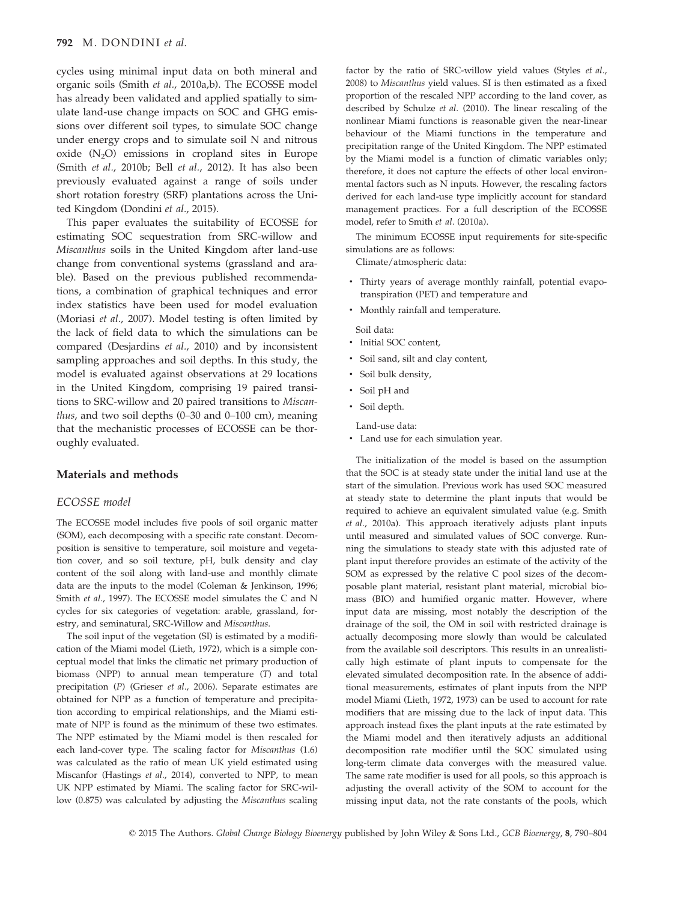cycles using minimal input data on both mineral and organic soils (Smith et al., 2010a,b). The ECOSSE model has already been validated and applied spatially to simulate land-use change impacts on SOC and GHG emissions over different soil types, to simulate SOC change under energy crops and to simulate soil N and nitrous oxide  $(N_2O)$  emissions in cropland sites in Europe (Smith et al., 2010b; Bell et al., 2012). It has also been previously evaluated against a range of soils under short rotation forestry (SRF) plantations across the United Kingdom (Dondini et al., 2015).

This paper evaluates the suitability of ECOSSE for estimating SOC sequestration from SRC-willow and Miscanthus soils in the United Kingdom after land-use change from conventional systems (grassland and arable). Based on the previous published recommendations, a combination of graphical techniques and error index statistics have been used for model evaluation (Moriasi et al., 2007). Model testing is often limited by the lack of field data to which the simulations can be compared (Desjardins et al., 2010) and by inconsistent sampling approaches and soil depths. In this study, the model is evaluated against observations at 29 locations in the United Kingdom, comprising 19 paired transitions to SRC-willow and 20 paired transitions to Miscanthus, and two soil depths  $(0-30$  and  $0-100$  cm), meaning that the mechanistic processes of ECOSSE can be thoroughly evaluated.

# Materials and methods

### ECOSSE model

The ECOSSE model includes five pools of soil organic matter (SOM), each decomposing with a specific rate constant. Decomposition is sensitive to temperature, soil moisture and vegetation cover, and so soil texture, pH, bulk density and clay content of the soil along with land-use and monthly climate data are the inputs to the model (Coleman & Jenkinson, 1996; Smith et al., 1997). The ECOSSE model simulates the C and N cycles for six categories of vegetation: arable, grassland, forestry, and seminatural, SRC-Willow and Miscanthus.

The soil input of the vegetation (SI) is estimated by a modification of the Miami model (Lieth, 1972), which is a simple conceptual model that links the climatic net primary production of biomass (NPP) to annual mean temperature (T) and total precipitation (P) (Grieser et al., 2006). Separate estimates are obtained for NPP as a function of temperature and precipitation according to empirical relationships, and the Miami estimate of NPP is found as the minimum of these two estimates. The NPP estimated by the Miami model is then rescaled for each land-cover type. The scaling factor for Miscanthus (1.6) was calculated as the ratio of mean UK yield estimated using Miscanfor (Hastings et al., 2014), converted to NPP, to mean UK NPP estimated by Miami. The scaling factor for SRC-willow (0.875) was calculated by adjusting the Miscanthus scaling factor by the ratio of SRC-willow yield values (Styles et al., 2008) to Miscanthus yield values. SI is then estimated as a fixed proportion of the rescaled NPP according to the land cover, as described by Schulze et al. (2010). The linear rescaling of the nonlinear Miami functions is reasonable given the near-linear behaviour of the Miami functions in the temperature and precipitation range of the United Kingdom. The NPP estimated by the Miami model is a function of climatic variables only; therefore, it does not capture the effects of other local environmental factors such as N inputs. However, the rescaling factors derived for each land-use type implicitly account for standard management practices. For a full description of the ECOSSE model, refer to Smith et al. (2010a).

The minimum ECOSSE input requirements for site-specific simulations are as follows:

Climate/atmospheric data:

- Thirty years of average monthly rainfall, potential evapotranspiration (PET) and temperature and
- Monthly rainfall and temperature.

Soil data:

- Initial SOC content,
- Soil sand, silt and clay content,
- Soil bulk density,
- Soil pH and
- Soil depth.

Land-use data:

• Land use for each simulation year.

The initialization of the model is based on the assumption that the SOC is at steady state under the initial land use at the start of the simulation. Previous work has used SOC measured at steady state to determine the plant inputs that would be required to achieve an equivalent simulated value (e.g. Smith et al., 2010a). This approach iteratively adjusts plant inputs until measured and simulated values of SOC converge. Running the simulations to steady state with this adjusted rate of plant input therefore provides an estimate of the activity of the SOM as expressed by the relative C pool sizes of the decomposable plant material, resistant plant material, microbial biomass (BIO) and humified organic matter. However, where input data are missing, most notably the description of the drainage of the soil, the OM in soil with restricted drainage is actually decomposing more slowly than would be calculated from the available soil descriptors. This results in an unrealistically high estimate of plant inputs to compensate for the elevated simulated decomposition rate. In the absence of additional measurements, estimates of plant inputs from the NPP model Miami (Lieth, 1972, 1973) can be used to account for rate modifiers that are missing due to the lack of input data. This approach instead fixes the plant inputs at the rate estimated by the Miami model and then iteratively adjusts an additional decomposition rate modifier until the SOC simulated using long-term climate data converges with the measured value. The same rate modifier is used for all pools, so this approach is adjusting the overall activity of the SOM to account for the missing input data, not the rate constants of the pools, which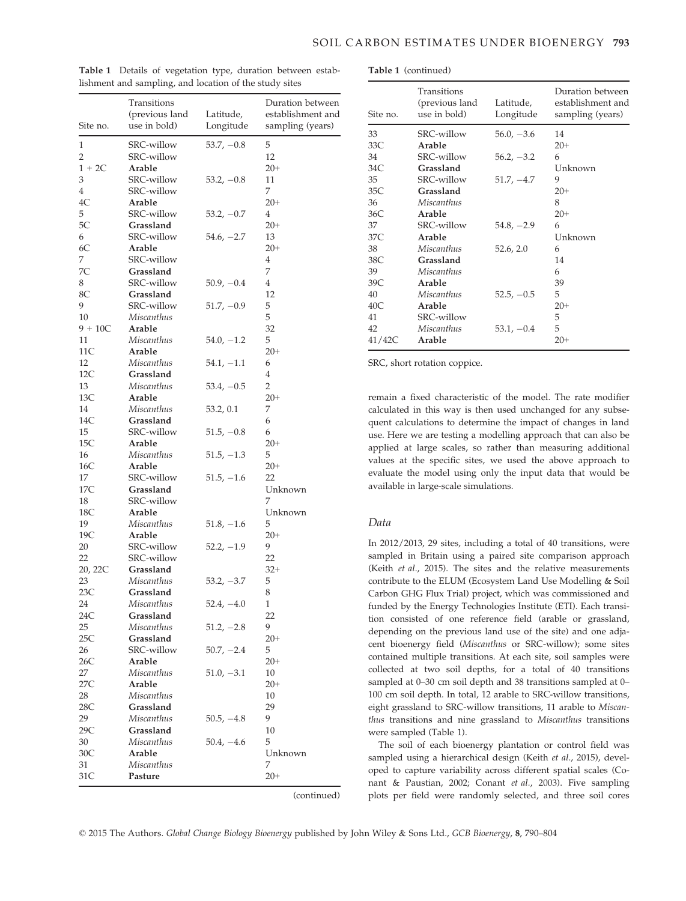|           | Transitions       |              | Duration between  |
|-----------|-------------------|--------------|-------------------|
|           | (previous land    | Latitude,    | establishment and |
| Site no.  | use in bold)      | Longitude    | sampling (years)  |
| 1         |                   |              | 5                 |
| 2         | <b>SRC-willow</b> | $53.7, -0.8$ | 12                |
|           | SRC-willow        |              |                   |
| $1 + 2C$  | Arable            |              | $20+$             |
| 3         | SRC-willow        | $53.2, -0.8$ | 11                |
| 4         | SRC-willow        |              | 7                 |
| 4C        | Arable            |              | $20+$             |
| 5         | SRC-willow        | $53.2, -0.7$ | 4                 |
| 5С        | Grassland         |              | $20+$             |
| 6         | <b>SRC-willow</b> | $54.6, -2.7$ | 13                |
| 6C        | Arable            |              | $20+$             |
| 7         | SRC-willow        |              | 4                 |
| 7C        | Grassland         |              | 7                 |
| 8         | <b>SRC-willow</b> | $50.9, -0.4$ | 4                 |
| 8C        | Grassland         |              | 12                |
| 9         | <b>SRC-willow</b> | $51.7, -0.9$ | 5                 |
| 10        | Miscanthus        |              | 5                 |
| $9 + 10C$ | Arable            |              | 32                |
| 11        | Miscanthus        | $54.0, -1.2$ | 5                 |
| 11C       | Arable            |              | $20+$             |
| 12        | Miscanthus        | $54.1, -1.1$ | 6                 |
| 12C       | Grassland         |              | 4                 |
| 13        | Miscanthus        | $53.4, -0.5$ | 2                 |
| 13C       | Arable            |              | $20+$             |
| 14        | Miscanthus        | 53.2, 0.1    | 7                 |
| 14C       | Grassland         |              | 6                 |
| 15        | SRC-willow        | $51.5, -0.8$ | 6                 |
| 15C       | Arable            |              | $20+$             |
| 16        | Miscanthus        | $51.5, -1.3$ | 5                 |
| 16C       | Arable            |              | $20+$             |
| 17        | SRC-willow        | $51.5, -1.6$ | 22                |
| 17C       | Grassland         |              | Unknown           |
| 18        | SRC-willow        |              | 7                 |
| 18C       | Arable            |              | Unknown           |
| 19        | Miscanthus        | $51.8, -1.6$ | 5                 |
| 19C       | Arable            |              | $20+$             |
| 20        | SRC-willow        | $52.2, -1.9$ | 9                 |
| 22        | SRC-willow        |              | 22                |
| 20, 22C   | Grassland         |              | $32+$             |
| 23        | Miscanthus        | $53.2, -3.7$ | 5                 |
| 23C       | Grassland         |              | 8                 |
| 24        | Miscanthus        | $52.4, -4.0$ | 1                 |
| 24C       | Grassland         |              | 22                |
| 25        | Miscanthus        | $51.2, -2.8$ | 9                 |
| 25C       | Grassland         |              | $20+$             |
| 26        | <b>SRC-willow</b> | $50.7, -2.4$ | 5                 |
| 26C       | Arable            |              | $20+$             |
| 27        | Miscanthus        | $51.0, -3.1$ | 10                |
| 27C       | Arable            |              | $20+$             |
| 28        | Miscanthus        |              | 10                |
| 28C       | Grassland         |              | 29                |
| 29        | Miscanthus        | $50.5, -4.8$ | 9                 |
| 29C       | Grassland         |              | 10                |
| 30        | Miscanthus        | $50.4, -4.6$ | 5                 |
| 30<       | Arable            |              | Unknown           |
| 31        | Miscanthus        |              | 7                 |
| 31C       | Pasture           |              | $20+$             |
|           |                   |              |                   |

Table 1 Details of vegetation type, duration between establishment and sampling, and location of the study sites

Table 1 (continued)

| Site no. | Transitions<br>(previous land<br>use in bold) | Latitude,<br>Longitude | Duration between<br>establishment and<br>sampling (years) |
|----------|-----------------------------------------------|------------------------|-----------------------------------------------------------|
| 33       | SRC-willow                                    | $56.0, -3.6$           | 14                                                        |
| 33C      | Arable                                        |                        | $20+$                                                     |
| 34       | SRC-willow                                    | $56.2, -3.2$           | 6                                                         |
| 34C      | Grassland                                     |                        | Unknown                                                   |
| 35       | SRC-willow                                    | $51.7, -4.7$           | 9                                                         |
| 35C      | Grassland                                     |                        | $20+$                                                     |
| 36       | Miscanthus                                    |                        | 8                                                         |
| 36C      | Arable                                        |                        | $20+$                                                     |
| 37       | SRC-willow                                    | $54.8, -2.9$           | 6                                                         |
| 37C      | Arable                                        |                        | Unknown                                                   |
| 38       | <b>Miscanthus</b>                             | 52.6, 2.0              | 6                                                         |
| 38C      | Grassland                                     |                        | 14                                                        |
| 39       | Miscanthus                                    |                        | 6                                                         |
| 39C      | Arable                                        |                        | 39                                                        |
| 40       | Miscanthus                                    | $52.5, -0.5$           | 5                                                         |
| 40C      | Arable                                        |                        | $20+$                                                     |
| 41       | SRC-willow                                    |                        | 5                                                         |
| 42       | Miscanthus                                    | $53.1, -0.4$           | 5                                                         |
| 41/42C   | Arable                                        |                        | $20+$                                                     |

SRC, short rotation coppice.

remain a fixed characteristic of the model. The rate modifier calculated in this way is then used unchanged for any subsequent calculations to determine the impact of changes in land use. Here we are testing a modelling approach that can also be applied at large scales, so rather than measuring additional values at the specific sites, we used the above approach to evaluate the model using only the input data that would be available in large-scale simulations.

#### Data

In 2012/2013, 29 sites, including a total of 40 transitions, were sampled in Britain using a paired site comparison approach (Keith et al., 2015). The sites and the relative measurements contribute to the ELUM (Ecosystem Land Use Modelling & Soil Carbon GHG Flux Trial) project, which was commissioned and funded by the Energy Technologies Institute (ETI). Each transition consisted of one reference field (arable or grassland, depending on the previous land use of the site) and one adjacent bioenergy field (Miscanthus or SRC-willow); some sites contained multiple transitions. At each site, soil samples were collected at two soil depths, for a total of 40 transitions sampled at 0–30 cm soil depth and 38 transitions sampled at 0– 100 cm soil depth. In total, 12 arable to SRC-willow transitions, eight grassland to SRC-willow transitions, 11 arable to Miscanthus transitions and nine grassland to Miscanthus transitions were sampled (Table 1).

The soil of each bioenergy plantation or control field was sampled using a hierarchical design (Keith et al., 2015), developed to capture variability across different spatial scales (Conant & Paustian, 2002; Conant et al., 2003). Five sampling plots per field were randomly selected, and three soil cores

(continued)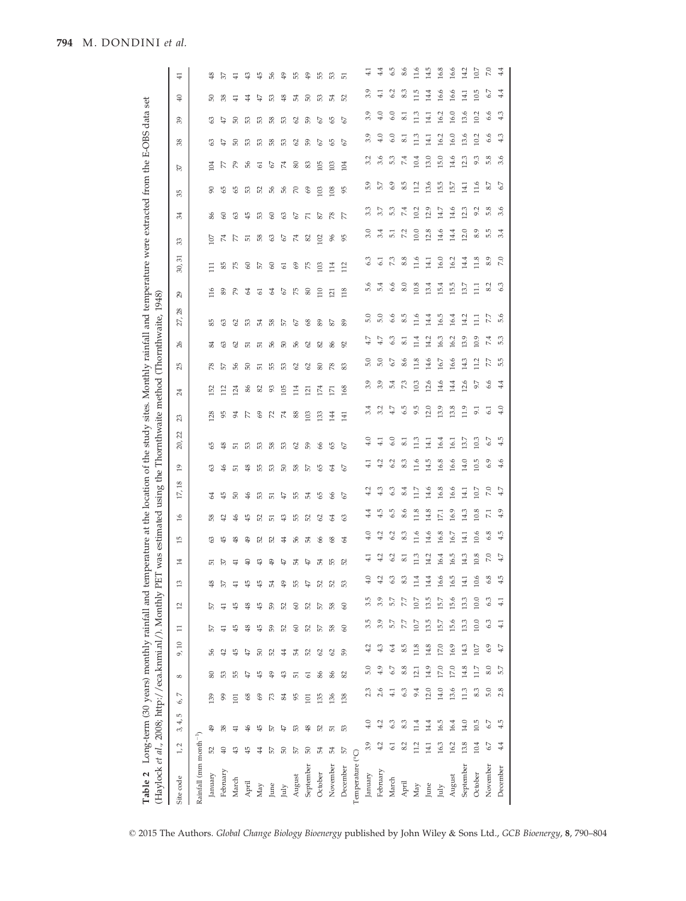| Table 2 Long-term (30 years) monthly rainfall and temperature at the location of the study sites. Monthly rainfall and temperature were extracted from the E-OBS data set<br>(Haylock et al., 2008; http://eca.knmi.nl/). Monthly PET was estimated using the Thornthwaite method (Thornthwaite, |                          |                |                      |                 |                       |                |         |                      |                 |                |                |                |                 |               |                 |             |               |                 | 1948)    |       |                  |                |                |                 |                |                                |               |                                   |  |
|--------------------------------------------------------------------------------------------------------------------------------------------------------------------------------------------------------------------------------------------------------------------------------------------------|--------------------------|----------------|----------------------|-----------------|-----------------------|----------------|---------|----------------------|-----------------|----------------|----------------|----------------|-----------------|---------------|-----------------|-------------|---------------|-----------------|----------|-------|------------------|----------------|----------------|-----------------|----------------|--------------------------------|---------------|-----------------------------------|--|
| Site code                                                                                                                                                                                                                                                                                        | $\sim$<br>$\overline{1}$ | LO<br>4,<br>3, | $\overline{ }$<br>6, | $\infty$        | $\overline{10}$<br>9, | $\Xi$          | $^{12}$ | $\mathbf{r}$         | 14              | $\overline{5}$ | $\frac{6}{2}$  | $^{18}$<br>12, | $\overline{19}$ | S<br>20       | ಔ               | $^{24}$     | ನಿ            | $\frac{26}{5}$  | 28<br>27 | 29    | ಸ<br>30          | 33             | 34             | 35              | 57             | వి<br>38                       | ₽             | $\overline{4}$                    |  |
| Rainfall (mm month <sup>-1</sup> )                                                                                                                                                                                                                                                               |                          |                |                      |                 |                       |                |         |                      |                 |                |                |                |                 |               |                 |             |               |                 |          |       |                  |                |                |                 |                |                                |               |                                   |  |
| January                                                                                                                                                                                                                                                                                          | 52                       | \$             | 139                  | $\pmb{\otimes}$ | 99                    | 57             | 57      | $\frac{8}{3}$        | 55              | 3              | 38             | 2              | 3               | ଞ             | $^{28}$         | 52          | 8             | 34              | 85       | 116   | Ξ                | S              | 86             | ଟ୍ଟ             | ॾ              | 3<br>3                         | 50            | ≇                                 |  |
| February                                                                                                                                                                                                                                                                                         | $\oplus$                 | 38             | 99                   | 53              | $\ddot{ }$            | $\pm$          | 41      | 37                   | 57              | 45             | $\ddot{ }$     | $\frac{15}{2}$ | ₩               | ≇             | 95              | 112         | 57            | 3               | 3        | 89    | 55               | 74             | 3              | 45              | R              | A.<br>₽                        | 38            | $\mathbb{S}$                      |  |
| March                                                                                                                                                                                                                                                                                            | ₽                        | 41             | $\overline{101}$     | 55              | $\frac{45}{5}$        | 45             | 45      | $\overline{+}$       | 41              | \$             | ₩              | 5              | 运               | 55            | 54              | 124         | 9g            | 2               | 2        | R     | 55               | R              | ଞ              | SS              | R              | 50<br>5                        | ₽             | ∓                                 |  |
| April                                                                                                                                                                                                                                                                                            | 45                       | \$             | 8                    | ₽               | 47                    | ≇              | \$      | 45                   | ₽               | ₽              | $\frac{15}{2}$ | \$             | ≇               | £3            | R               | 86          | 50            | 运               | S        | 2     | 3                | 词              | $\frac{15}{2}$ | œ,              | 56             | S3<br>යි                       | 4             | ₽                                 |  |
| May                                                                                                                                                                                                                                                                                              | \$                       | $\frac{45}{5}$ | 3                    | $\frac{45}{5}$  | 8                     | $\frac{15}{2}$ | ₩       | 45                   | ₽               | 52             | 52             | යි             | 55              | යි            | 3               | 85          | 5             | 运               | 54       | 5     | 5                | 38             | යි             | PS <sub>2</sub> | 5              | S3<br>යි                       | ₽             | ₩                                 |  |
| June                                                                                                                                                                                                                                                                                             | 57                       | 57             | $\mathbb{Z}^2$       | ₽               | 52                    | င္တ            | င္တ     | 54                   | $\frac{4}{9}$   | 52             | 运              | 5              | S3              | 38            | 52              | S           | 55            | 56              | 58       | 2     | 3                | S              | 3              | చ               | 2              | 58<br>38                       | යි            | 5g                                |  |
| July                                                                                                                                                                                                                                                                                             | 50                       | 47             | $\frac{8}{4}$        | ₽               | $\ddot{ }$            | PS             | PS      | 49                   | 47              | 4              | ₽              | ₽              | 2               | යි            | 74              | 105         | යි            | 5               | 57       | 2     | 5                | 2              | 3              | వ               | $\mathbb{Z}^4$ | S<br>£3                        | $\frac{8}{2}$ | ₽                                 |  |
| August                                                                                                                                                                                                                                                                                           | 57                       | 53             | 95                   | 5               | 54                    | 3              | 3       | 55                   | 54              | 56             | 55             | 55             | 58              | $\mathcal{S}$ | 88              | 114         | $\mathcal{S}$ | 56              | 57       | K     | 3                | $\mathbb{Z}^4$ | 2              | R               | 80             | $\mathcal{S}$<br>$\mathcal{S}$ | 54            | æ                                 |  |
| September                                                                                                                                                                                                                                                                                        | 50                       | $\frac{8}{3}$  | $\overline{101}$     | 5               | 52                    | 52             | PS      | 47                   | 47              | 54             | 52             | 54             | 55              | 3             | $\approx$       | $\bar{\Xi}$ | 2             | 2               | 8        | 8     | 55               | 8              | Б              | 3               | 83             | 59<br>3                        | 50            | ₽                                 |  |
| October                                                                                                                                                                                                                                                                                          | 54                       | 52             | 135                  | 86              | $\mathcal{S}$         | 57             | 57      | 52                   | 54              | 8              | $\mathcal{S}$  | S              | S               | 8             | $\mathbb{S}^2$  | 174         | 80            | 82              | 89       | 110   | $\approx$        | $\Xi$          | 22             | $\mathbb{S}$    | 105            | 2<br>2                         | යි            | æ                                 |  |
| November                                                                                                                                                                                                                                                                                         | 54                       | 51             | 136                  | 86              | 62                    | 58             | 38      | 52                   | 55              | 8              | 2              | 8              | Z               | ଞ             | 君               | Ε           | R,            | 86              | 78       | 흐     | $\overline{114}$ | X              | $\approx$      | 108             | 103            | G5<br>ଞ                        | 54            | S                                 |  |
| December                                                                                                                                                                                                                                                                                         | 57                       | 53             | 138                  | 82              | S <sub>9</sub>        | $\circ$        | $\circ$ | 53                   | 52              | 2              | ශී             | 57             | 57              | 57            | 141             | 168         | 83            | 92              | 89       | 118   | 112              | 95             | R              | 95              | 104            | 2<br>57                        | 52            | 运                                 |  |
| Temperature (°C)                                                                                                                                                                                                                                                                                 |                          |                |                      |                 |                       |                |         |                      |                 |                |                |                |                 |               |                 |             |               |                 |          |       |                  |                |                |                 |                |                                |               |                                   |  |
| January                                                                                                                                                                                                                                                                                          | 3.9                      | 4.0            | 2.3                  | 5.0             | 4.2                   | 3.5            | 3.5     | Q                    | $\frac{1}{4}$   | 4.0            | $^{4.4}$       | 4.2            | $\frac{1}{4}$   | 4.0           | 3.4             | 3.9         | 5.0           | 4.7             | 5.0      | 5.6   | 6.3              | 3.0            | 3.3            | 5.9             | 3.2            | 3.9                            | 3.9           | ⋥<br>3.9                          |  |
| February                                                                                                                                                                                                                                                                                         | 4.2                      | 4.2            | 2.6                  | 4.9             |                       | 3.9            | 3.9     | Ņ                    | 4.2             | 4.2            | 4.5            | 4.3            | 4.2             | 4.1           | 3.2             | 3.9         | 5.0           | 4.7             | 5.0      | 5.4   | 51               | 3.4            | 3.7            | 5.7             | 3.6            | 4.0                            | 4.0           | $\frac{4}{4}$<br>$\overline{4.1}$ |  |
| March                                                                                                                                                                                                                                                                                            | 61                       | 6.3            | 4.1                  | 6.7             | 6.4                   | 5.7            | 5.7     | Ċ,<br>c              | 6.2             | 6.2            | 6.5            | 3              | 6.2             | 6.0           | 4.7             | 5.4         | 6.7           | 6.3             | 6.6      | 6.6   | 73               | 5              | 5.3            | 6.9             | 5.3            | 6.0                            | 6.0           | 6.5<br>6.2                        |  |
| April                                                                                                                                                                                                                                                                                            | 8.2                      | 8.3            | 6.3                  | 8.8             | 8.5                   | 7.7            | 7.7     | ĉ,<br>$\infty$       | $\overline{81}$ | 8.3            | 8.6            | 8.4            | 8.3             | 8.1           | 6.5             | 7.3         | 8.6           | $\overline{81}$ | 8.5      | 8.0   | 8.8              | 7.2            | 7.4            | 8.5             | 7.4            | $\overline{81}$                | ವ             | 8.6<br>8.3                        |  |
| May                                                                                                                                                                                                                                                                                              | 11.2                     | 11.4           | 9.4                  | 12.1            | 11.8                  | 10.7           | 10.7    | 4<br>Ξ               | 11.3            | 11.6           | 11.8           | 11.7           | 11.6            | 11.3          | 9.5             | 10.3        | 11.8          | 11.4            | 11.6     | 10.8  | 11.6             | 10.0           | 10.2           | 11.2            | 10.4           | 11.3                           | 11.3          | 11.6<br>11.5                      |  |
| June                                                                                                                                                                                                                                                                                             | 14.1                     | 14.4           | 12.0                 | 14.9            | 14.8                  | 13.5           | 13.5    | 4<br>14              | 14.2            | 14.6           | 14.8           | 14.6           | 14.5            | 14.1          | 12.0            | 12.6        | 14.6          | 14.2            | 14.4     | 13.4  | 14.1             | 12.8           | Ξ.             | 13.6            | 13.0           | 14.1                           | 14.1          | 14.5<br>14.4                      |  |
| July                                                                                                                                                                                                                                                                                             | 16.3                     | 16.5           | 14.0                 | 17.0            | 17.0                  | 15.7           | 15.7    | 16.6                 | 16.4            | 16.8           | 17.1           | 16.8           | 16.8            | 16.4          | 13.9            | 14.6        | 16.7          | 16.3            | 16.5     | 15.4  | 16.0             | 14.6           | 14.7           | 15.5            | 15.0           | 16.2                           | 16.2          | 16.8<br>16.6                      |  |
| August                                                                                                                                                                                                                                                                                           | 16.2                     | 16.4           | 13.6                 | 17.0            | 16.9                  | 15.6           | 15.6    | rù<br>16.            | 16.5            | 16.7           | 16.9           | 16.6           | 16.6            | 16.1          | 13.8            | 14.4        | 16.6          | 16.2            | 16.4     | 15.5  | 16.2             | 14.4           | 14.6           | 15.7            | 14.6           | 16.0                           | 16.0          | 16.6<br>16.6                      |  |
| September                                                                                                                                                                                                                                                                                        | 13.8                     | 14.0           | 11.3                 | 14.8            | 14.3                  | 13.3           | 13.3    | H<br>$\overline{14}$ | 14.3            | 14.1           | 14.3           | 14.1           | 14.0            | 13.7          | 11.9            | 12.6        | 14.3          | 13.9            | 14.2     | 13.7  | 14.4             | 12.0           | 12.3           | 14.1            | 12.3           | 13.6                           | 14.1<br>13.6  | 14.2                              |  |
| October                                                                                                                                                                                                                                                                                          | 10.4                     | 10.5           | 8.3                  | 11.7            | 10.7                  | 10.0           | 10.0    | $\circ$<br>$\dot{=}$ | 10.8            | 10.6           | 10.8           | 10.7           | 10.5            | 10.3          | 51              | 9.7         | 11.2          | 10.9            | Ξ        | $\Xi$ | 11.8             | 8.9            | 9.2            | 11.6            | 9.3            | 10.2                           | 10.2          | 10.7<br>10.5                      |  |
| November                                                                                                                                                                                                                                                                                         | $6.7$                    | 6.7            | 5.0                  | $_{\rm 8.0}$    | 6.9                   | 6.3            | 6.3     | œ<br>ی               | $7.0\,$         | 6.8            | $\overline{z}$ | $7.0\,$        | 6.9             | 6.7           | $\overline{61}$ | 6.6         | 7.7           | 7.4             | 7.7      | 8.2   | 8.9              | r.<br>ro.      | 5.8            | 8.7             | 5.8            | 6.6                            | 6.6           | 7.0<br>6.7                        |  |
| December                                                                                                                                                                                                                                                                                         | 4.4                      | 4.5            | 2.8                  | 5.7             | 4.7                   | 4.1            | 4.1     | rÜ<br>4              | 4.7             | 4.5            | 4.9            | 4.7            | 4.6             | 4.5           | 4.0             | 4.4         | 5.5           | 5.3             | 5.6      | 6.3   | 7.0              | 3.4            | 3.6            | 6.7             | 3.6            | 4.3                            | 4.3           | 4.4<br>4.4                        |  |
|                                                                                                                                                                                                                                                                                                  |                          |                |                      |                 |                       |                |         |                      |                 |                |                |                |                 |               |                 |             |               |                 |          |       |                  |                |                |                 |                |                                |               |                                   |  |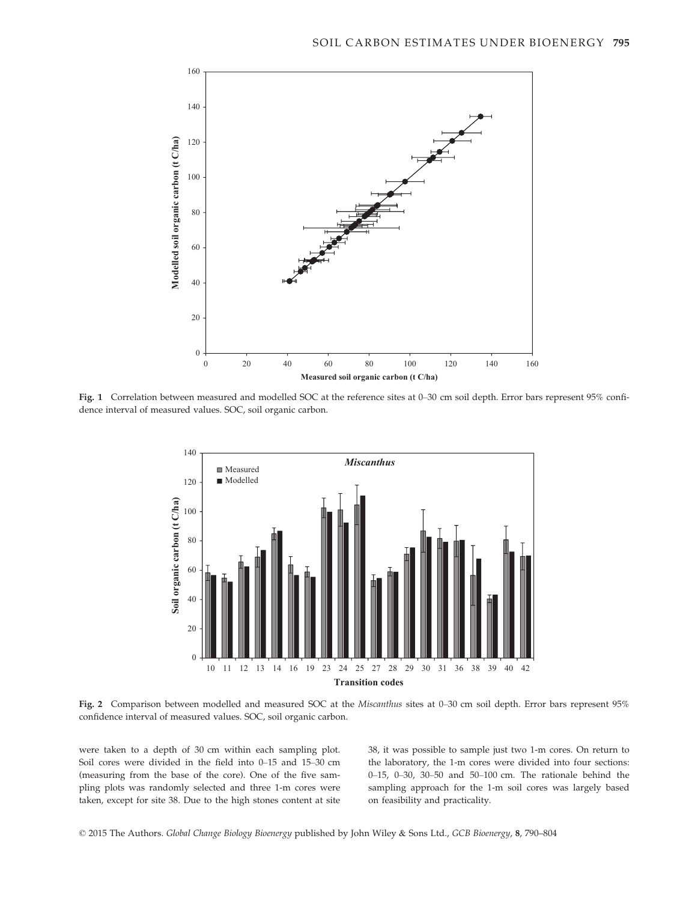

Fig. 1 Correlation between measured and modelled SOC at the reference sites at 0–30 cm soil depth. Error bars represent 95% confidence interval of measured values. SOC, soil organic carbon.



Fig. 2 Comparison between modelled and measured SOC at the Miscanthus sites at 0-30 cm soil depth. Error bars represent 95% confidence interval of measured values. SOC, soil organic carbon.

were taken to a depth of 30 cm within each sampling plot. Soil cores were divided in the field into 0–15 and 15–30 cm (measuring from the base of the core). One of the five sampling plots was randomly selected and three 1-m cores were taken, except for site 38. Due to the high stones content at site 38, it was possible to sample just two 1-m cores. On return to the laboratory, the 1-m cores were divided into four sections: 0–15, 0–30, 30–50 and 50–100 cm. The rationale behind the sampling approach for the 1-m soil cores was largely based on feasibility and practicality.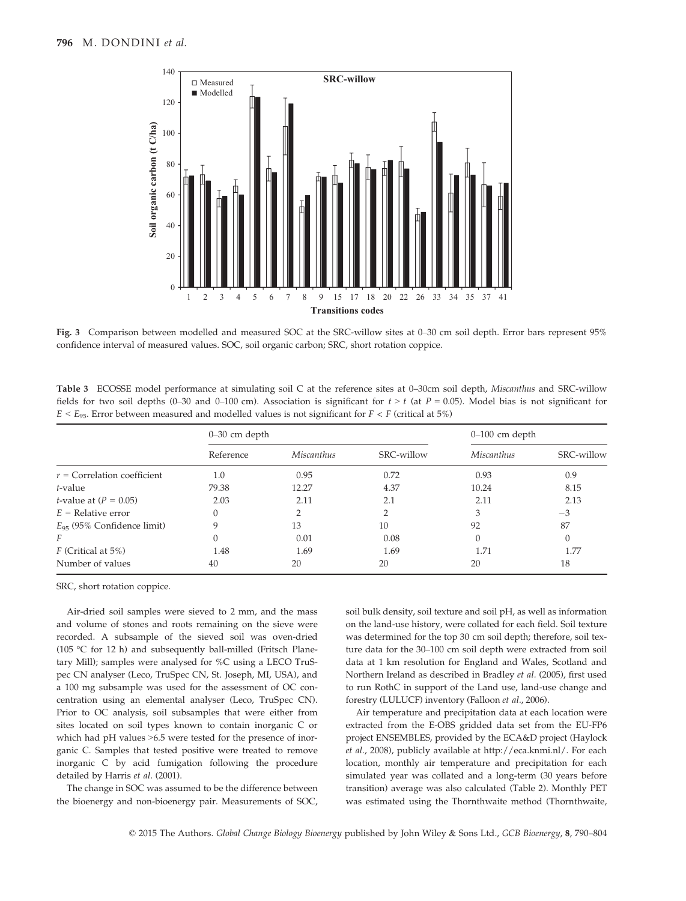

Fig. 3 Comparison between modelled and measured SOC at the SRC-willow sites at 0–30 cm soil depth. Error bars represent 95% confidence interval of measured values. SOC, soil organic carbon; SRC, short rotation coppice.

Table 3 ECOSSE model performance at simulating soil C at the reference sites at 0–30cm soil depth, Miscanthus and SRC-willow fields for two soil depths (0–30 and 0–100 cm). Association is significant for  $t > t$  (at  $P = 0.05$ ). Model bias is not significant for  $E < E_{95}$ . Error between measured and modelled values is not significant for  $F < F$  (critical at 5%)

|                                 | $0-30$ cm depth |            |            | $0-100$ cm depth  |            |
|---------------------------------|-----------------|------------|------------|-------------------|------------|
|                                 | Reference       | Miscanthus | SRC-willow | <i>Miscanthus</i> | SRC-willow |
| $r =$ Correlation coefficient   | 1.0             | 0.95       | 0.72       | 0.93              | 0.9        |
| t-value                         | 79.38           | 12.27      | 4.37       | 10.24             | 8.15       |
| <i>t</i> -value at $(P = 0.05)$ | 2.03            | 2.11       | 2.1        | 2.11              | 2.13       |
| $E =$ Relative error            | 0               |            |            | 3                 | $-3$       |
| $E_{95}$ (95% Confidence limit) | 9               | 13         | 10         | 92                | 87         |
| F                               | 0               | 0.01       | 0.08       |                   |            |
| $F$ (Critical at 5%)            | 1.48            | 1.69       | 1.69       | 1.71              | 1.77       |
| Number of values                | 40              | 20         | 20         | 20                | 18         |

SRC, short rotation coppice.

Air-dried soil samples were sieved to 2 mm, and the mass and volume of stones and roots remaining on the sieve were recorded. A subsample of the sieved soil was oven-dried (105 °C for 12 h) and subsequently ball-milled (Fritsch Planetary Mill); samples were analysed for %C using a LECO TruSpec CN analyser (Leco, TruSpec CN, St. Joseph, MI, USA), and a 100 mg subsample was used for the assessment of OC concentration using an elemental analyser (Leco, TruSpec CN). Prior to OC analysis, soil subsamples that were either from sites located on soil types known to contain inorganic C or which had pH values >6.5 were tested for the presence of inorganic C. Samples that tested positive were treated to remove inorganic C by acid fumigation following the procedure detailed by Harris et al. (2001).

The change in SOC was assumed to be the difference between the bioenergy and non-bioenergy pair. Measurements of SOC, soil bulk density, soil texture and soil pH, as well as information on the land-use history, were collated for each field. Soil texture was determined for the top 30 cm soil depth; therefore, soil texture data for the 30–100 cm soil depth were extracted from soil data at 1 km resolution for England and Wales, Scotland and Northern Ireland as described in Bradley et al. (2005), first used to run RothC in support of the Land use, land-use change and forestry (LULUCF) inventory (Falloon et al., 2006).

Air temperature and precipitation data at each location were extracted from the E-OBS gridded data set from the EU-FP6 project ENSEMBLES, provided by the ECA&D project (Haylock et al., 2008), publicly available at [http://eca.knmi.nl/.](http://eca.knmi.nl/) For each location, monthly air temperature and precipitation for each simulated year was collated and a long-term (30 years before transition) average was also calculated (Table 2). Monthly PET was estimated using the Thornthwaite method (Thornthwaite,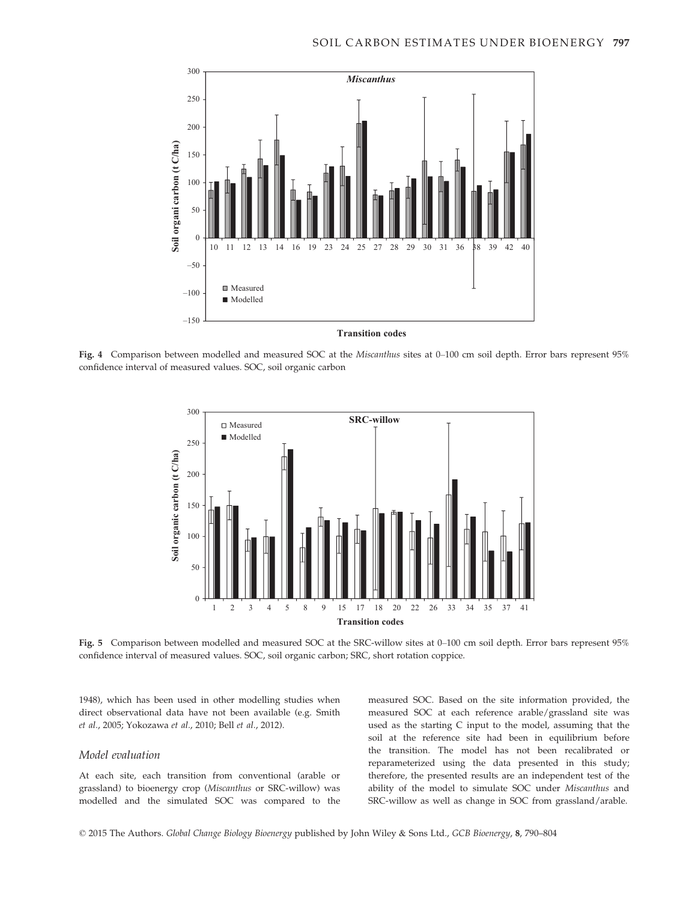

Fig. 4 Comparison between modelled and measured SOC at the *Miscanthus* sites at 0–100 cm soil depth. Error bars represent 95% confidence interval of measured values. SOC, soil organic carbon



Fig. 5 Comparison between modelled and measured SOC at the SRC-willow sites at 0–100 cm soil depth. Error bars represent 95% confidence interval of measured values. SOC, soil organic carbon; SRC, short rotation coppice.

1948), which has been used in other modelling studies when direct observational data have not been available (e.g. Smith et al., 2005; Yokozawa et al., 2010; Bell et al., 2012).

#### Model evaluation

At each site, each transition from conventional (arable or grassland) to bioenergy crop (Miscanthus or SRC-willow) was modelled and the simulated SOC was compared to the

measured SOC. Based on the site information provided, the measured SOC at each reference arable/grassland site was used as the starting C input to the model, assuming that the soil at the reference site had been in equilibrium before the transition. The model has not been recalibrated or reparameterized using the data presented in this study; therefore, the presented results are an independent test of the ability of the model to simulate SOC under Miscanthus and SRC-willow as well as change in SOC from grassland/arable.

© 2015 The Authors. Global Change Biology Bioenergy published by John Wiley & Sons Ltd., GCB Bioenergy, 8, 790–804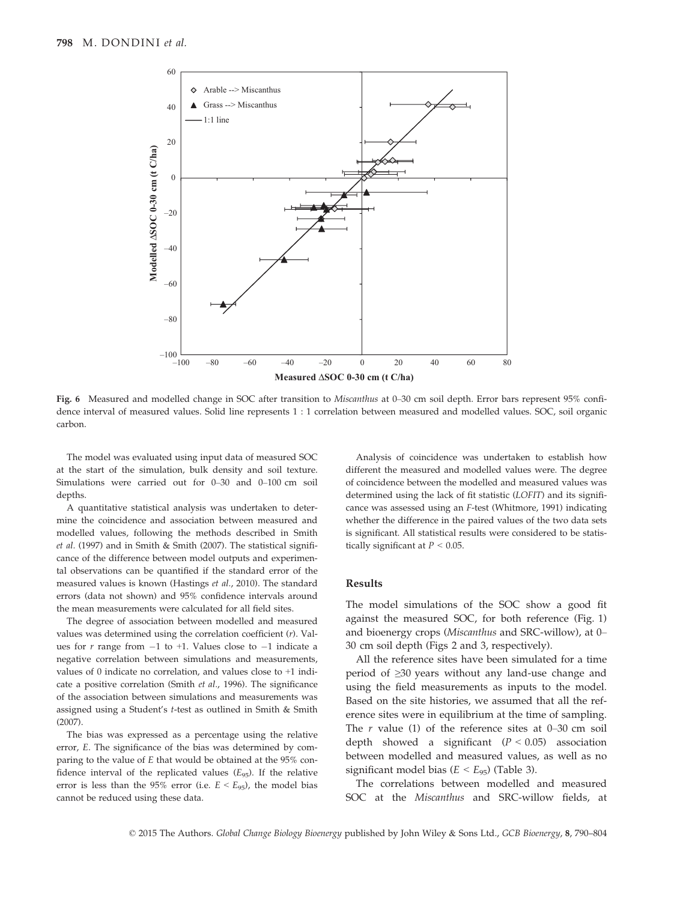

Fig. 6 Measured and modelled change in SOC after transition to Miscanthus at 0–30 cm soil depth. Error bars represent 95% confidence interval of measured values. Solid line represents 1 : 1 correlation between measured and modelled values. SOC, soil organic carbon.

The model was evaluated using input data of measured SOC at the start of the simulation, bulk density and soil texture. Simulations were carried out for 0–30 and 0–100 cm soil depths.

A quantitative statistical analysis was undertaken to determine the coincidence and association between measured and modelled values, following the methods described in Smith et al. (1997) and in Smith & Smith (2007). The statistical significance of the difference between model outputs and experimental observations can be quantified if the standard error of the measured values is known (Hastings et al., 2010). The standard errors (data not shown) and 95% confidence intervals around the mean measurements were calculated for all field sites.

The degree of association between modelled and measured values was determined using the correlation coefficient  $(r)$ . Values for  $r$  range from  $-1$  to  $+1$ . Values close to  $-1$  indicate a negative correlation between simulations and measurements, values of 0 indicate no correlation, and values close to +1 indicate a positive correlation (Smith et al., 1996). The significance of the association between simulations and measurements was assigned using a Student's t-test as outlined in Smith & Smith (2007).

The bias was expressed as a percentage using the relative error, E. The significance of the bias was determined by comparing to the value of E that would be obtained at the 95% confidence interval of the replicated values  $(E_{95})$ . If the relative error is less than the 95% error (i.e.  $E < E_{95}$ ), the model bias cannot be reduced using these data.

Analysis of coincidence was undertaken to establish how different the measured and modelled values were. The degree of coincidence between the modelled and measured values was determined using the lack of fit statistic (LOFIT) and its significance was assessed using an F-test (Whitmore, 1991) indicating whether the difference in the paired values of the two data sets is significant. All statistical results were considered to be statistically significant at  $P < 0.05$ .

# Results

The model simulations of the SOC show a good fit against the measured SOC, for both reference (Fig. 1) and bioenergy crops (Miscanthus and SRC-willow), at 0– 30 cm soil depth (Figs 2 and 3, respectively).

All the reference sites have been simulated for a time period of ≥30 years without any land-use change and using the field measurements as inputs to the model. Based on the site histories, we assumed that all the reference sites were in equilibrium at the time of sampling. The  $r$  value (1) of the reference sites at 0–30 cm soil depth showed a significant  $(P < 0.05)$  association between modelled and measured values, as well as no significant model bias ( $E < E_{95}$ ) (Table 3).

The correlations between modelled and measured SOC at the Miscanthus and SRC-willow fields, at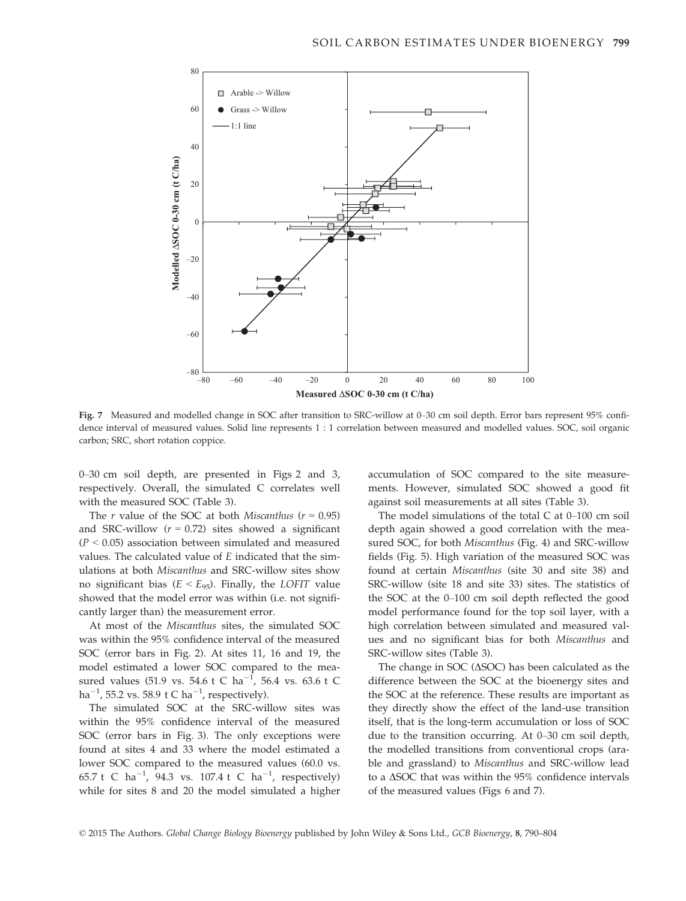

Fig. 7 Measured and modelled change in SOC after transition to SRC-willow at 0–30 cm soil depth. Error bars represent 95% confidence interval of measured values. Solid line represents 1 : 1 correlation between measured and modelled values. SOC, soil organic carbon; SRC, short rotation coppice.

0–30 cm soil depth, are presented in Figs 2 and 3, respectively. Overall, the simulated C correlates well with the measured SOC (Table 3).

The r value of the SOC at both Miscanthus ( $r = 0.95$ ) and SRC-willow  $(r = 0.72)$  sites showed a significant  $(P < 0.05)$  association between simulated and measured values. The calculated value of E indicated that the simulations at both Miscanthus and SRC-willow sites show no significant bias ( $E < E_{95}$ ). Finally, the LOFIT value showed that the model error was within (i.e. not significantly larger than) the measurement error.

At most of the Miscanthus sites, the simulated SOC was within the 95% confidence interval of the measured SOC (error bars in Fig. 2). At sites 11, 16 and 19, the model estimated a lower SOC compared to the measured values (51.9 vs. 54.6 t C  $ha^{-1}$ , 56.4 vs. 63.6 t C ha $^{-1}$ , 55.2 vs. 58.9 t C ha $^{-1}$ , respectively).

The simulated SOC at the SRC-willow sites was within the 95% confidence interval of the measured SOC (error bars in Fig. 3). The only exceptions were found at sites 4 and 33 where the model estimated a lower SOC compared to the measured values (60.0 vs. 65.7 t C ha<sup>-1</sup>, 94.3 vs. 107.4 t C ha<sup>-1</sup>, respectively) while for sites 8 and 20 the model simulated a higher accumulation of SOC compared to the site measurements. However, simulated SOC showed a good fit against soil measurements at all sites (Table 3).

The model simulations of the total C at 0–100 cm soil depth again showed a good correlation with the measured SOC, for both Miscanthus (Fig. 4) and SRC-willow fields (Fig. 5). High variation of the measured SOC was found at certain Miscanthus (site 30 and site 38) and SRC-willow (site 18 and site 33) sites. The statistics of the SOC at the 0–100 cm soil depth reflected the good model performance found for the top soil layer, with a high correlation between simulated and measured values and no significant bias for both Miscanthus and SRC-willow sites (Table 3).

The change in SOC ( $\Delta$ SOC) has been calculated as the difference between the SOC at the bioenergy sites and the SOC at the reference. These results are important as they directly show the effect of the land-use transition itself, that is the long-term accumulation or loss of SOC due to the transition occurring. At 0–30 cm soil depth, the modelled transitions from conventional crops (arable and grassland) to Miscanthus and SRC-willow lead to a  $\Delta$ SOC that was within the 95% confidence intervals of the measured values (Figs 6 and 7).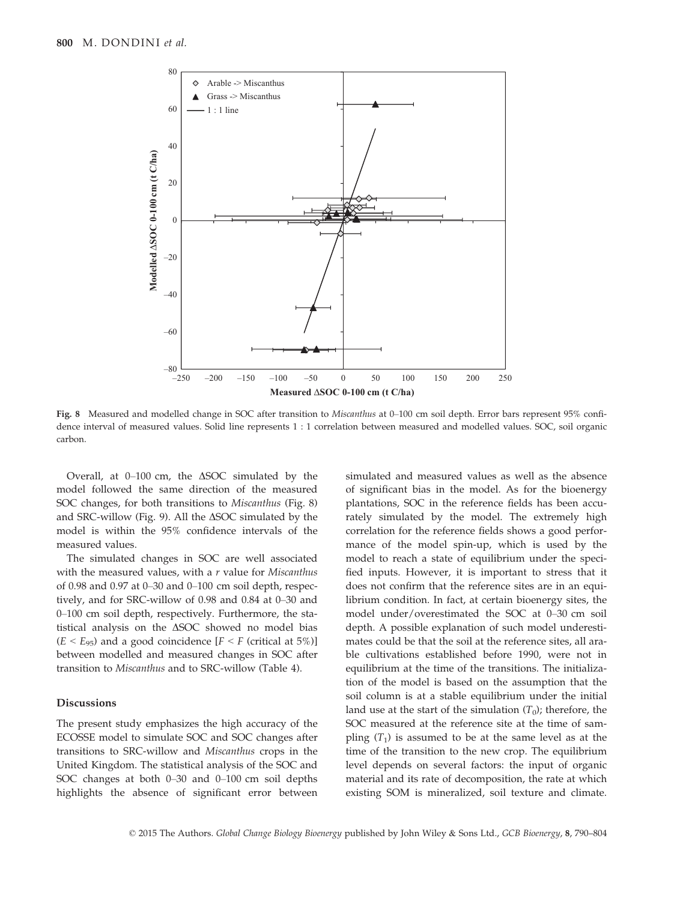

Fig. 8 Measured and modelled change in SOC after transition to Miscanthus at 0–100 cm soil depth. Error bars represent 95% confidence interval of measured values. Solid line represents 1 : 1 correlation between measured and modelled values. SOC, soil organic carbon.

Overall, at  $0-100$  cm, the  $\triangle SOC$  simulated by the model followed the same direction of the measured SOC changes, for both transitions to *Miscanthus* (Fig. 8) and SRC-willow (Fig. 9). All the  $\Delta$ SOC simulated by the model is within the 95% confidence intervals of the measured values.

The simulated changes in SOC are well associated with the measured values, with a  $r$  value for Miscanthus of 0.98 and 0.97 at 0–30 and 0–100 cm soil depth, respectively, and for SRC-willow of 0.98 and 0.84 at 0–30 and 0–100 cm soil depth, respectively. Furthermore, the statistical analysis on the  $\triangle$ SOC showed no model bias  $(E < E_{95})$  and a good coincidence  $[F < F$  (critical at 5%)] between modelled and measured changes in SOC after transition to Miscanthus and to SRC-willow (Table 4).

# **Discussions**

The present study emphasizes the high accuracy of the ECOSSE model to simulate SOC and SOC changes after transitions to SRC-willow and Miscanthus crops in the United Kingdom. The statistical analysis of the SOC and SOC changes at both 0–30 and 0–100 cm soil depths highlights the absence of significant error between simulated and measured values as well as the absence of significant bias in the model. As for the bioenergy plantations, SOC in the reference fields has been accurately simulated by the model. The extremely high correlation for the reference fields shows a good performance of the model spin-up, which is used by the model to reach a state of equilibrium under the specified inputs. However, it is important to stress that it does not confirm that the reference sites are in an equilibrium condition. In fact, at certain bioenergy sites, the model under/overestimated the SOC at 0–30 cm soil depth. A possible explanation of such model underestimates could be that the soil at the reference sites, all arable cultivations established before 1990, were not in equilibrium at the time of the transitions. The initialization of the model is based on the assumption that the soil column is at a stable equilibrium under the initial land use at the start of the simulation  $(T_0)$ ; therefore, the SOC measured at the reference site at the time of sampling  $(T_1)$  is assumed to be at the same level as at the time of the transition to the new crop. The equilibrium level depends on several factors: the input of organic material and its rate of decomposition, the rate at which existing SOM is mineralized, soil texture and climate.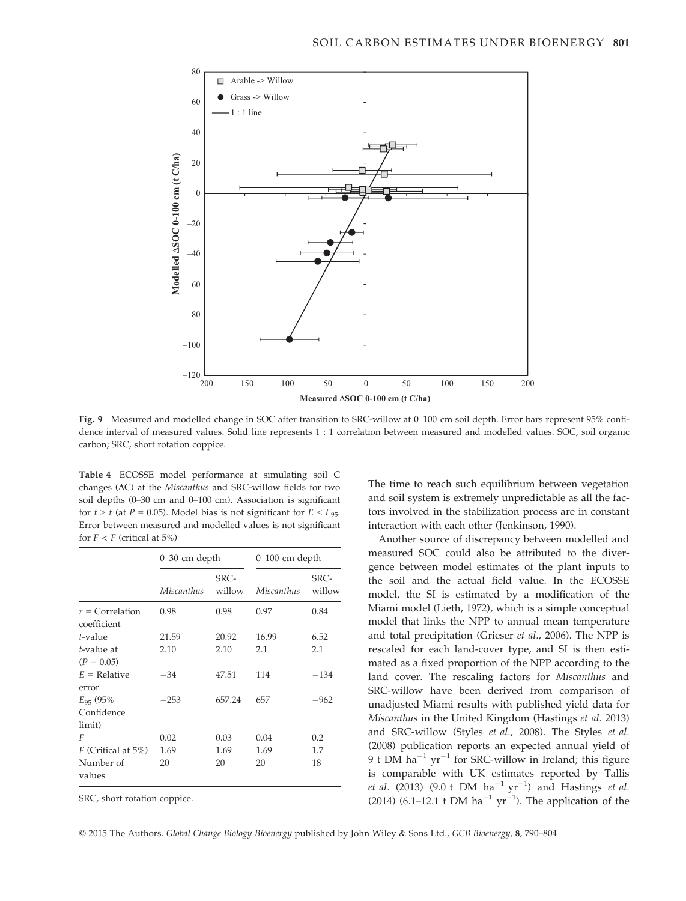

Fig. 9 Measured and modelled change in SOC after transition to SRC-willow at 0–100 cm soil depth. Error bars represent 95% confidence interval of measured values. Solid line represents 1 : 1 correlation between measured and modelled values. SOC, soil organic carbon; SRC, short rotation coppice.

Table 4 ECOSSE model performance at simulating soil C changes ( $\Delta C$ ) at the *Miscanthus* and SRC-willow fields for two soil depths (0–30 cm and 0–100 cm). Association is significant for  $t > t$  (at  $P = 0.05$ ). Model bias is not significant for  $E < E_{95}$ . Error between measured and modelled values is not significant for  $F < F$  (critical at 5%)

|                                        | $0 - 30$ cm depth |                | $0-100$ cm depth |                |
|----------------------------------------|-------------------|----------------|------------------|----------------|
|                                        | Miscanthus        | SRC-<br>willow | Miscanthus       | SRC-<br>willow |
| $r =$ Correlation<br>coefficient       | 0.98              | 0.98           | 0.97             | 0.84           |
| t-value                                | 21.59             | 20.92          | 16.99            | 6.52           |
| t-value at<br>$(P = 0.05)$             | 2.10              | 2.10           | 2.1              | 2.1            |
| $E =$ Relative<br>error                | $-34$             | 47.51          | 114              | $-134$         |
| $E_{95}$ (95%)<br>Confidence<br>limit) | $-253$            | 657.24         | 657              | $-962$         |
| F                                      | 0.02              | 0.03           | 0.04             | 0.2            |
| $F$ (Critical at 5%)                   | 1.69              | 1.69           | 1.69             | 1.7            |
| Number of<br>values                    | 20                | 20             | 20               | 18             |

SRC, short rotation coppice.

The time to reach such equilibrium between vegetation and soil system is extremely unpredictable as all the factors involved in the stabilization process are in constant interaction with each other (Jenkinson, 1990).

Another source of discrepancy between modelled and measured SOC could also be attributed to the divergence between model estimates of the plant inputs to the soil and the actual field value. In the ECOSSE model, the SI is estimated by a modification of the Miami model (Lieth, 1972), which is a simple conceptual model that links the NPP to annual mean temperature and total precipitation (Grieser et al., 2006). The NPP is rescaled for each land-cover type, and SI is then estimated as a fixed proportion of the NPP according to the land cover. The rescaling factors for Miscanthus and SRC-willow have been derived from comparison of unadjusted Miami results with published yield data for Miscanthus in the United Kingdom (Hastings et al. 2013) and SRC-willow (Styles et al., 2008). The Styles et al. (2008) publication reports an expected annual yield of 9 t DM ha<sup>-1</sup> yr<sup>-1</sup> for SRC-willow in Ireland; this figure is comparable with UK estimates reported by Tallis *et al.* (2013) (9.0 t DM  $ha^{-1}yr^{-1}$ ) and Hastings *et al.* (2014) (6.1–12.1 t DM ha<sup>-1</sup> yr<sup>-1</sup>). The application of the

© 2015 The Authors. Global Change Biology Bioenergy published by John Wiley & Sons Ltd., GCB Bioenergy, 8, 790–804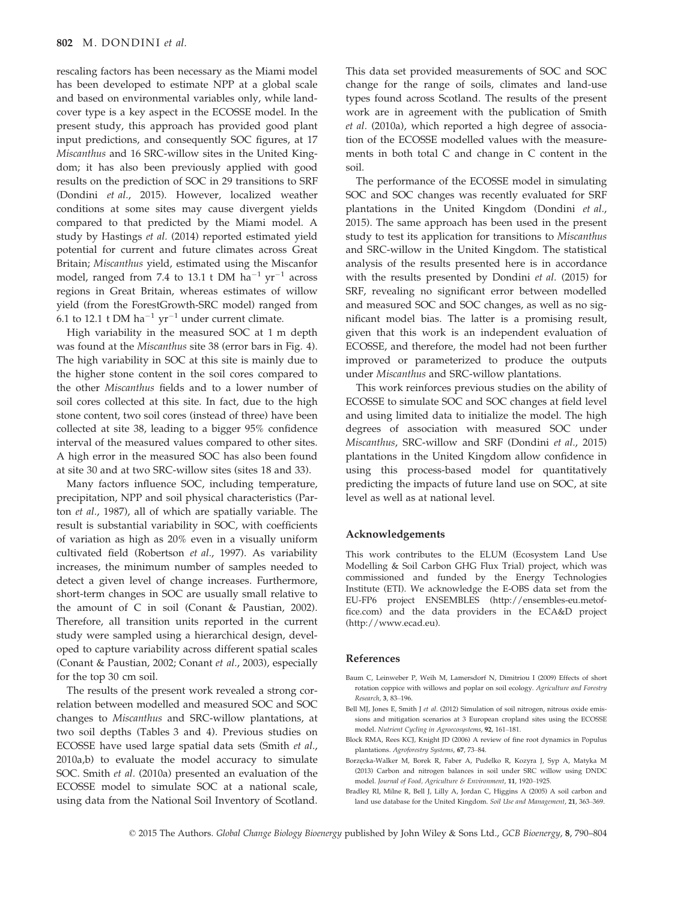rescaling factors has been necessary as the Miami model has been developed to estimate NPP at a global scale and based on environmental variables only, while landcover type is a key aspect in the ECOSSE model. In the present study, this approach has provided good plant input predictions, and consequently SOC figures, at 17 Miscanthus and 16 SRC-willow sites in the United Kingdom; it has also been previously applied with good results on the prediction of SOC in 29 transitions to SRF (Dondini et al., 2015). However, localized weather conditions at some sites may cause divergent yields compared to that predicted by the Miami model. A study by Hastings et al. (2014) reported estimated yield potential for current and future climates across Great Britain; Miscanthus yield, estimated using the Miscanfor model, ranged from 7.4 to 13.1 t DM  $ha^{-1} yr^{-1}$  across regions in Great Britain, whereas estimates of willow yield (from the ForestGrowth-SRC model) ranged from 6.1 to 12.1 t DM ha<sup>-1</sup> yr<sup>-1</sup> under current climate.

High variability in the measured SOC at 1 m depth was found at the Miscanthus site 38 (error bars in Fig. 4). The high variability in SOC at this site is mainly due to the higher stone content in the soil cores compared to the other Miscanthus fields and to a lower number of soil cores collected at this site. In fact, due to the high stone content, two soil cores (instead of three) have been collected at site 38, leading to a bigger 95% confidence interval of the measured values compared to other sites. A high error in the measured SOC has also been found at site 30 and at two SRC-willow sites (sites 18 and 33).

Many factors influence SOC, including temperature, precipitation, NPP and soil physical characteristics (Parton et al., 1987), all of which are spatially variable. The result is substantial variability in SOC, with coefficients of variation as high as 20% even in a visually uniform cultivated field (Robertson et al., 1997). As variability increases, the minimum number of samples needed to detect a given level of change increases. Furthermore, short-term changes in SOC are usually small relative to the amount of C in soil (Conant & Paustian, 2002). Therefore, all transition units reported in the current study were sampled using a hierarchical design, developed to capture variability across different spatial scales (Conant & Paustian, 2002; Conant et al., 2003), especially for the top 30 cm soil.

The results of the present work revealed a strong correlation between modelled and measured SOC and SOC changes to Miscanthus and SRC-willow plantations, at two soil depths (Tables 3 and 4). Previous studies on ECOSSE have used large spatial data sets (Smith et al., 2010a,b) to evaluate the model accuracy to simulate SOC. Smith et al. (2010a) presented an evaluation of the ECOSSE model to simulate SOC at a national scale, using data from the National Soil Inventory of Scotland.

This data set provided measurements of SOC and SOC change for the range of soils, climates and land-use types found across Scotland. The results of the present work are in agreement with the publication of Smith et al. (2010a), which reported a high degree of association of the ECOSSE modelled values with the measurements in both total C and change in C content in the soil.

The performance of the ECOSSE model in simulating SOC and SOC changes was recently evaluated for SRF plantations in the United Kingdom (Dondini et al., 2015). The same approach has been used in the present study to test its application for transitions to Miscanthus and SRC-willow in the United Kingdom. The statistical analysis of the results presented here is in accordance with the results presented by Dondini et al. (2015) for SRF, revealing no significant error between modelled and measured SOC and SOC changes, as well as no significant model bias. The latter is a promising result, given that this work is an independent evaluation of ECOSSE, and therefore, the model had not been further improved or parameterized to produce the outputs under Miscanthus and SRC-willow plantations.

This work reinforces previous studies on the ability of ECOSSE to simulate SOC and SOC changes at field level and using limited data to initialize the model. The high degrees of association with measured SOC under Miscanthus, SRC-willow and SRF (Dondini et al., 2015) plantations in the United Kingdom allow confidence in using this process-based model for quantitatively predicting the impacts of future land use on SOC, at site level as well as at national level.

#### Acknowledgements

This work contributes to the ELUM (Ecosystem Land Use Modelling & Soil Carbon GHG Flux Trial) project, which was commissioned and funded by the Energy Technologies Institute (ETI). We acknowledge the E-OBS data set from the EU-FP6 project ENSEMBLES ([http://ensembles-eu.metof](http://ensembles-eu.metoffice.com)[fice.com](http://ensembles-eu.metoffice.com)) and the data providers in the ECA&D project ([http://www.ecad.eu\)](http://www.ecad.eu).

#### References

- Baum C, Leinweber P, Weih M, Lamersdorf N, Dimitriou I (2009) Effects of short rotation coppice with willows and poplar on soil ecology. Agriculture and Forestry Research, 3, 83–196.
- Bell MJ, Jones E, Smith J et al. (2012) Simulation of soil nitrogen, nitrous oxide emissions and mitigation scenarios at 3 European cropland sites using the ECOSSE model. Nutrient Cycling in Agroecosystems, 92, 161–181.
- Block RMA, Rees KCJ, Knight JD (2006) A review of fine root dynamics in Populus plantations. Agroforestry Systems, 67, 73–84.
- Borzezcka-Walker M, Borek R, Faber A, Pudelko R, Kozyra J, Syp A, Matyka M (2013) Carbon and nitrogen balances in soil under SRC willow using DNDC model. Journal of Food, Agriculture & Environment, 11, 1920–1925.
- Bradley RI, Milne R, Bell J, Lilly A, Jordan C, Higgins A (2005) A soil carbon and land use database for the United Kingdom. Soil Use and Management, 21, 363–369.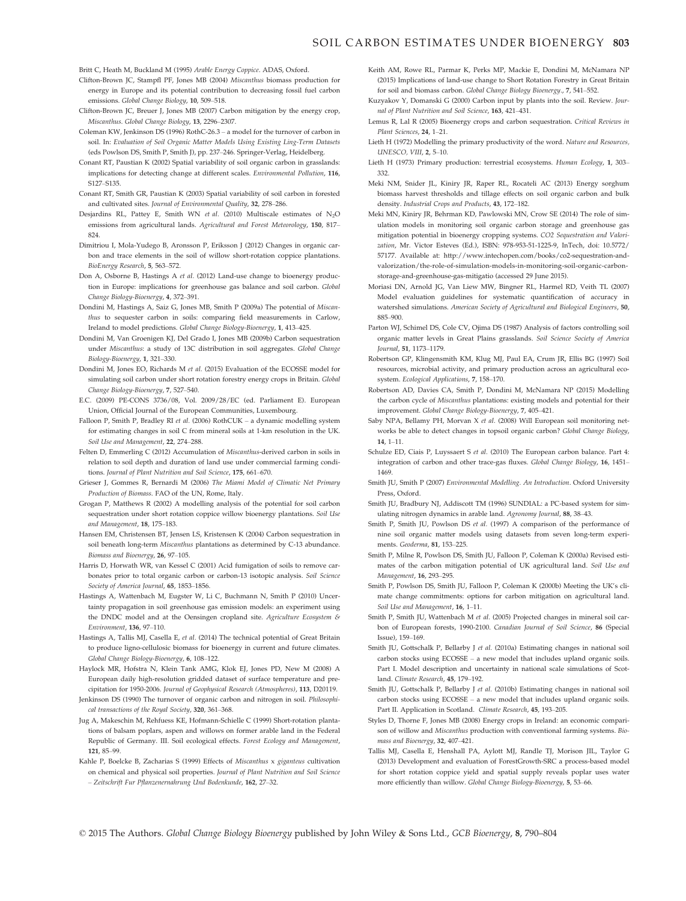### SOIL CARBON ESTIMATES UNDER BIOENERGY 803

Britt C, Heath M, Buckland M (1995) Arable Energy Coppice. ADAS, Oxford.

- Clifton-Brown JC, Stampfl PF, Jones MB (2004) Miscanthus biomass production for energy in Europe and its potential contribution to decreasing fossil fuel carbon emissions. Global Change Biology, 10, 509–518.
- Clifton-Brown JC, Breuer J, Jones MB (2007) Carbon mitigation by the energy crop, Miscanthus. Global Change Biology, 13, 2296–2307.
- Coleman KW, Jenkinson DS (1996) RothC-26.3 a model for the turnover of carbon in soil. In: Evaluation of Soil Organic Matter Models Using Existing Ling-Term Datasets (eds Powlson DS, Smith P, Smith J), pp. 237–246. Springer-Verlag, Heidelberg.
- Conant RT, Paustian K (2002) Spatial variability of soil organic carbon in grasslands: implications for detecting change at different scales. Environmental Pollution, 116, S127–S135.
- Conant RT, Smith GR, Paustian K (2003) Spatial variability of soil carbon in forested and cultivated sites. Journal of Environmental Quality, 32, 278–286.
- Desiardins RL, Pattey E, Smith WN et al. (2010) Multiscale estimates of N<sub>2</sub>O emissions from agricultural lands. Agricultural and Forest Meteorology, 150, 817– 824.
- Dimitriou I, Mola-Yudego B, Aronsson P, Eriksson J (2012) Changes in organic carbon and trace elements in the soil of willow short-rotation coppice plantations. BioEnergy Research, 5, 563–572.
- Don A, Osborne B, Hastings A et al. (2012) Land-use change to bioenergy production in Europe: implications for greenhouse gas balance and soil carbon. Global Change Biology-Bioenergy, 4, 372–391.
- Dondini M, Hastings A, Saiz G, Jones MB, Smith P (2009a) The potential of Miscanthus to sequester carbon in soils: comparing field measurements in Carlow, Ireland to model predictions. Global Change Biology-Bioenergy, 1, 413–425.
- Dondini M, Van Groenigen KJ, Del Grado I, Jones MB (2009b) Carbon sequestration under Miscanthus: a study of 13C distribution in soil aggregates. Global Change Biology-Bioenergy, 1, 321–330.
- Dondini M, Jones EO, Richards M et al. (2015) Evaluation of the ECOSSE model for simulating soil carbon under short rotation forestry energy crops in Britain. Global Change Biology-Bioenergy, 7, 527–540.
- E.C. (2009) PE-CONS 3736/08, Vol. 2009/28/EC (ed. Parliament E). European Union, Official Journal of the European Communities, Luxembourg.
- Falloon P, Smith P, Bradley RI et al. (2006) RothCUK a dynamic modelling system for estimating changes in soil C from mineral soils at 1-km resolution in the UK. Soil Use and Management, 22, 274–288.
- Felten D, Emmerling C (2012) Accumulation of Miscanthus-derived carbon in soils in relation to soil depth and duration of land use under commercial farming conditions. Journal of Plant Nutrition and Soil Science, 175, 661–670.
- Grieser J, Gommes R, Bernardi M (2006) The Miami Model of Climatic Net Primary Production of Biomass. FAO of the UN, Rome, Italy.
- Grogan P, Matthews R (2002) A modelling analysis of the potential for soil carbon sequestration under short rotation coppice willow bioenergy plantations. Soil Use and Management, 18, 175–183.
- Hansen EM, Christensen BT, Jensen LS, Kristensen K (2004) Carbon sequestration in soil beneath long-term Miscanthus plantations as determined by C-13 abundance. Biomass and Bioenergy, 26, 97–105.
- Harris D, Horwath WR, van Kessel C (2001) Acid fumigation of soils to remove carbonates prior to total organic carbon or carbon-13 isotopic analysis. Soil Science Society of America Journal, 65, 1853–1856.
- Hastings A, Wattenbach M, Eugster W, Li C, Buchmann N, Smith P (2010) Uncertainty propagation in soil greenhouse gas emission models: an experiment using the DNDC model and at the Oensingen cropland site. Agriculture Ecosystem & Environment, 136, 97–110.
- Hastings A, Tallis MJ, Casella E, et al. (2014) The technical potential of Great Britain to produce ligno-cellulosic biomass for bioenergy in current and future climates. Global Change Biology-Bioenergy, 6, 108–122.
- Haylock MR, Hofstra N, Klein Tank AMG, Klok EJ, Jones PD, New M (2008) A European daily high-resolution gridded dataset of surface temperature and precipitation for 1950-2006. Journal of Geophysical Research (Atmospheres), 113, D20119.
- Jenkinson DS (1990) The turnover of organic carbon and nitrogen in soil. Philosophical transactions of the Royal Society, 320, 361–368.
- Jug A, Makeschin M, Rehfuess KE, Hofmann-Schielle C (1999) Short-rotation plantations of balsam poplars, aspen and willows on former arable land in the Federal Republic of Germany. III. Soil ecological effects. Forest Ecology and Management, 121, 85–99.
- Kahle P, Boelcke B, Zacharias S (1999) Effects of Miscanthus x giganteus cultivation on chemical and physical soil properties. Journal of Plant Nutrition and Soil Science – Zeitschrift Fur Pflanzenernahrung Und Bodenkunde, 162, 27–32.
- Keith AM, Rowe RL, Parmar K, Perks MP, Mackie E, Dondini M, McNamara NP (2015) Implications of land-use change to Short Rotation Forestry in Great Britain for soil and biomass carbon. Global Change Biology Bioenergy., 7, 541–552.
- Kuzyakov Y, Domanski G (2000) Carbon input by plants into the soil. Review. Journal of Plant Nutrition and Soil Science, 163, 421–431.
- Lemus R, Lal R (2005) Bioenergy crops and carbon sequestration. Critical Reviews in Plant Sciences, 24, 1–21.
- Lieth H (1972) Modelling the primary productivity of the word. Nature and Resources, UNESCO, VIII, 2, 5–10.
- Lieth H (1973) Primary production: terrestrial ecosystems. Human Ecology, 1, 303– 332.
- Meki NM, Snider JL, Kiniry JR, Raper RL, Rocateli AC (2013) Energy sorghum biomass harvest thresholds and tillage effects on soil organic carbon and bulk density. Industrial Crops and Products, 43, 172–182.
- Meki MN, Kiniry JR, Behrman KD, Pawlowski MN, Crow SE (2014) The role of simulation models in monitoring soil organic carbon storage and greenhouse gas mitigation potential in bioenergy cropping systems. CO2 Sequestration and Valorization, Mr. Victor Esteves (Ed.), ISBN: 978-953-51-1225-9, InTech, doi: [10.5772/](http://dx.doi.org/10.5772/57177) [57177.](http://dx.doi.org/10.5772/57177) Available at: [http://www.intechopen.com/books/co2-sequestration-and](http://www.intechopen.com/books/co2-sequestration-and-valorization/the-role-of-simulation-models-in-monitoring-soil-organic-carbon-storage-and-greenhouse-gas-mitigatio)[valorization/the-role-of-simulation-models-in-monitoring-soil-organic-carbon](http://www.intechopen.com/books/co2-sequestration-and-valorization/the-role-of-simulation-models-in-monitoring-soil-organic-carbon-storage-and-greenhouse-gas-mitigatio)[storage-and-greenhouse-gas-mitigatio](http://www.intechopen.com/books/co2-sequestration-and-valorization/the-role-of-simulation-models-in-monitoring-soil-organic-carbon-storage-and-greenhouse-gas-mitigatio) (accessed 29 June 2015).
- Moriasi DN, Arnold JG, Van Liew MW, Bingner RL, Harmel RD, Veith TL (2007) Model evaluation guidelines for systematic quantification of accuracy in watershed simulations. American Society of Agricultural and Biological Engineers, 50, 885–900.
- Parton WJ, Schimel DS, Cole CV, Ojima DS (1987) Analysis of factors controlling soil organic matter levels in Great Plains grasslands. Soil Science Society of America Journal, 51, 1173–1179.
- Robertson GP, Klingensmith KM, Klug MJ, Paul EA, Crum JR, Ellis BG (1997) Soil resources, microbial activity, and primary production across an agricultural ecosystem. Ecological Applications, 7, 158–170.
- Robertson AD, Davies CA, Smith P, Dondini M, McNamara NP (2015) Modelling the carbon cycle of Miscanthus plantations: existing models and potential for their improvement. Global Change Biology-Bioenergy, 7, 405–421.
- Saby NPA, Bellamy PH, Morvan X et al. (2008) Will European soil monitoring networks be able to detect changes in topsoil organic carbon? Global Change Biology, 14, 1–11.
- Schulze ED, Ciais P, Luyssaert S et al. (2010) The European carbon balance. Part 4: integration of carbon and other trace-gas fluxes. Global Change Biology, 16, 1451– 1469.
- Smith JU, Smith P (2007) Environmental Modelling. An Introduction. Oxford University Press, Oxford.
- Smith JU, Bradbury NJ, Addiscott TM (1996) SUNDIAL: a PC-based system for simulating nitrogen dynamics in arable land. Agronomy Journal, 88, 38–43.
- Smith P, Smith JU, Powlson DS et al. (1997) A comparison of the performance of nine soil organic matter models using datasets from seven long-term experiments. Geoderma, 81, 153–225.
- Smith P, Milne R, Powlson DS, Smith JU, Falloon P, Coleman K (2000a) Revised estimates of the carbon mitigation potential of UK agricultural land. Soil Use and Management, 16, 293–295.
- Smith P, Powlson DS, Smith JU, Falloon P, Coleman K (2000b) Meeting the UK's climate change commitments: options for carbon mitigation on agricultural land. Soil Use and Management, 16, 1–11.
- Smith P, Smith JU, Wattenbach M et al. (2005) Projected changes in mineral soil carbon of European forests, 1990-2100. Canadian Journal of Soil Science, 86 (Special Issue), 159–169.
- Smith JU, Gottschalk P, Bellarby J et al. (2010a) Estimating changes in national soil carbon stocks using ECOSSE – a new model that includes upland organic soils. Part I. Model description and uncertainty in national scale simulations of Scotland. Climate Research, 45, 179–192.
- Smith JU, Gottschalk P, Bellarby J et al. (2010b) Estimating changes in national soil carbon stocks using ECOSSE – a new model that includes upland organic soils. Part II. Application in Scotland. Climate Research, 45, 193–205.
- Styles D, Thorne F, Jones MB (2008) Energy crops in Ireland: an economic comparison of willow and Miscanthus production with conventional farming systems. Biomass and Bioenergy, 32, 407–421.
- Tallis MJ, Casella E, Henshall PA, Aylott MJ, Randle TJ, Morison JIL, Taylor G (2013) Development and evaluation of ForestGrowth-SRC a process-based model for short rotation coppice yield and spatial supply reveals poplar uses water more efficiently than willow. Global Change Biology-Bioenergy, 5, 53–66.